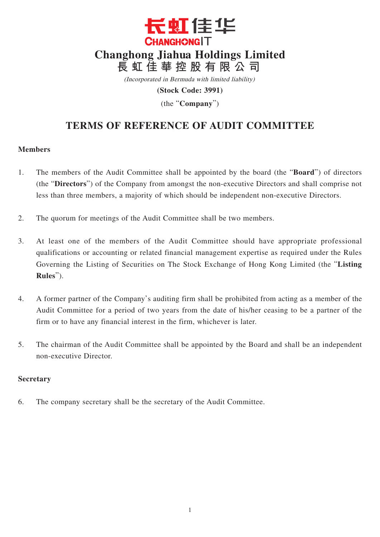

(Incorporated in Bermuda with limited liability)

**(Stock Code: 3991)**

(the "**Company**")

# **TERMS OF REFERENCE OF AUDIT COMMITTEE**

#### **Members**

- 1. The members of the Audit Committee shall be appointed by the board (the "**Board**") of directors (the "**Directors**") of the Company from amongst the non-executive Directors and shall comprise not less than three members, a majority of which should be independent non-executive Directors.
- 2. The quorum for meetings of the Audit Committee shall be two members.
- 3. At least one of the members of the Audit Committee should have appropriate professional qualifications or accounting or related financial management expertise as required under the Rules Governing the Listing of Securities on The Stock Exchange of Hong Kong Limited (the "**Listing Rules**").
- 4. A former partner of the Company's auditing firm shall be prohibited from acting as a member of the Audit Committee for a period of two years from the date of his/her ceasing to be a partner of the firm or to have any financial interest in the firm, whichever is later.
- 5. The chairman of the Audit Committee shall be appointed by the Board and shall be an independent non-executive Director.

## **Secretary**

6. The company secretary shall be the secretary of the Audit Committee.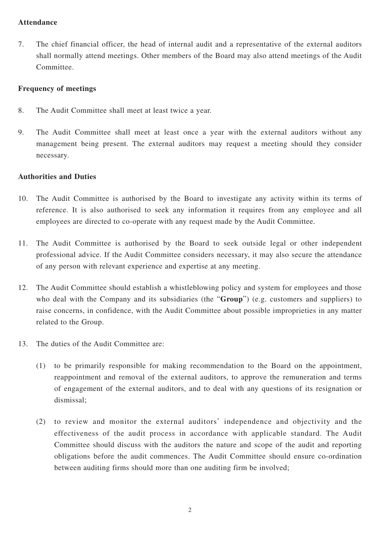#### **Attendance**

7. The chief financial officer, the head of internal audit and a representative of the external auditors shall normally attend meetings. Other members of the Board may also attend meetings of the Audit Committee.

## **Frequency of meetings**

- 8. The Audit Committee shall meet at least twice a year.
- 9. The Audit Committee shall meet at least once a year with the external auditors without any management being present. The external auditors may request a meeting should they consider necessary.

#### **Authorities and Duties**

- 10. The Audit Committee is authorised by the Board to investigate any activity within its terms of reference. It is also authorised to seek any information it requires from any employee and all employees are directed to co-operate with any request made by the Audit Committee.
- 11. The Audit Committee is authorised by the Board to seek outside legal or other independent professional advice. If the Audit Committee considers necessary, it may also secure the attendance of any person with relevant experience and expertise at any meeting.
- 12. The Audit Committee should establish a whistleblowing policy and system for employees and those who deal with the Company and its subsidiaries (the "**Group**") (e.g. customers and suppliers) to raise concerns, in confidence, with the Audit Committee about possible improprieties in any matter related to the Group.
- 13. The duties of the Audit Committee are:
	- (1) to be primarily responsible for making recommendation to the Board on the appointment, reappointment and removal of the external auditors, to approve the remuneration and terms of engagement of the external auditors, and to deal with any questions of its resignation or dismissal;
	- (2) to review and monitor the external auditors' independence and objectivity and the effectiveness of the audit process in accordance with applicable standard. The Audit Committee should discuss with the auditors the nature and scope of the audit and reporting obligations before the audit commences. The Audit Committee should ensure co-ordination between auditing firms should more than one auditing firm be involved;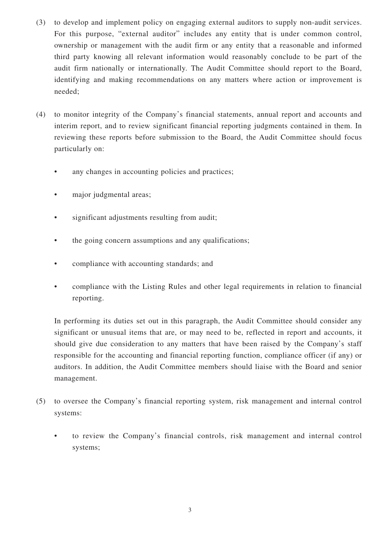- (3) to develop and implement policy on engaging external auditors to supply non-audit services. For this purpose, "external auditor" includes any entity that is under common control, ownership or management with the audit firm or any entity that a reasonable and informed third party knowing all relevant information would reasonably conclude to be part of the audit firm nationally or internationally. The Audit Committee should report to the Board, identifying and making recommendations on any matters where action or improvement is needed;
- (4) to monitor integrity of the Company's financial statements, annual report and accounts and interim report, and to review significant financial reporting judgments contained in them. In reviewing these reports before submission to the Board, the Audit Committee should focus particularly on:
	- any changes in accounting policies and practices;
	- major judgmental areas;
	- significant adjustments resulting from audit;
	- the going concern assumptions and any qualifications;
	- compliance with accounting standards; and
	- compliance with the Listing Rules and other legal requirements in relation to financial reporting.

In performing its duties set out in this paragraph, the Audit Committee should consider any significant or unusual items that are, or may need to be, reflected in report and accounts, it should give due consideration to any matters that have been raised by the Company's staff responsible for the accounting and financial reporting function, compliance officer (if any) or auditors. In addition, the Audit Committee members should liaise with the Board and senior management.

- (5) to oversee the Company's financial reporting system, risk management and internal control systems:
	- to review the Company's financial controls, risk management and internal control systems;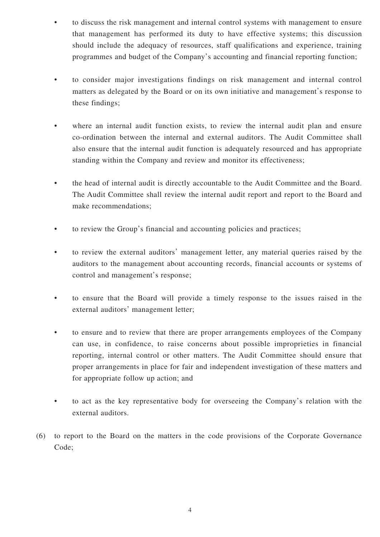- to discuss the risk management and internal control systems with management to ensure that management has performed its duty to have effective systems; this discussion should include the adequacy of resources, staff qualifications and experience, training programmes and budget of the Company's accounting and financial reporting function;
- to consider major investigations findings on risk management and internal control matters as delegated by the Board or on its own initiative and management's response to these findings;
- where an internal audit function exists, to review the internal audit plan and ensure co-ordination between the internal and external auditors. The Audit Committee shall also ensure that the internal audit function is adequately resourced and has appropriate standing within the Company and review and monitor its effectiveness;
- the head of internal audit is directly accountable to the Audit Committee and the Board. The Audit Committee shall review the internal audit report and report to the Board and make recommendations;
- to review the Group's financial and accounting policies and practices;
- to review the external auditors' management letter, any material queries raised by the auditors to the management about accounting records, financial accounts or systems of control and management's response;
- to ensure that the Board will provide a timely response to the issues raised in the external auditors' management letter;
- to ensure and to review that there are proper arrangements employees of the Company can use, in confidence, to raise concerns about possible improprieties in financial reporting, internal control or other matters. The Audit Committee should ensure that proper arrangements in place for fair and independent investigation of these matters and for appropriate follow up action; and
- to act as the key representative body for overseeing the Company's relation with the external auditors.
- (6) to report to the Board on the matters in the code provisions of the Corporate Governance Code;